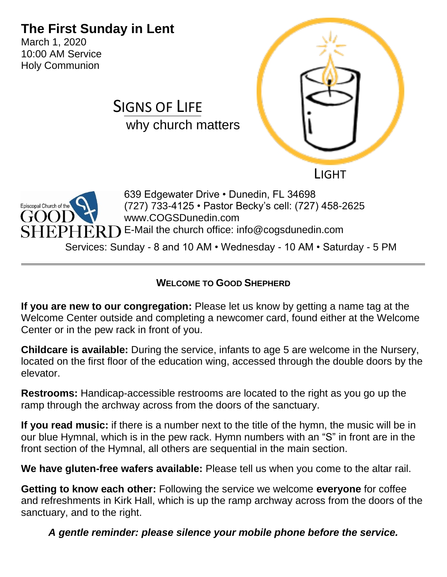# **The First Sunday in Lent**

SIGNS OF LIFE

March 1, 2020 10:00 AM Service Holy Communion





639 Edgewater Drive • Dunedin, FL 34698 (727) 733-4125 • Pastor Becky's cell: (727) 458-2625 www.COGSDunedin.com  $\operatorname{HPPHERD}$  E-Mail the church office: info@cogsdunedin.com

Services: Sunday - 8 and 10 AM • Wednesday - 10 AM • Saturday - 5 PM

#### **WELCOME TO GOOD SHEPHERD**

**If you are new to our congregation:** Please let us know by getting a name tag at the Welcome Center outside and completing a newcomer card, found either at the Welcome Center or in the pew rack in front of you.

**Childcare is available:** During the service, infants to age 5 are welcome in the Nursery, located on the first floor of the education wing, accessed through the double doors by the elevator.

**Restrooms:** Handicap-accessible restrooms are located to the right as you go up the ramp through the archway across from the doors of the sanctuary.

**If you read music:** if there is a number next to the title of the hymn, the music will be in our blue Hymnal, which is in the pew rack. Hymn numbers with an "S" in front are in the front section of the Hymnal, all others are sequential in the main section.

**We have gluten-free wafers available:** Please tell us when you come to the altar rail.

**Getting to know each other:** Following the service we welcome **everyone** for coffee and refreshments in Kirk Hall, which is up the ramp archway across from the doors of the sanctuary, and to the right.

*A gentle reminder: please silence your mobile phone before the service.*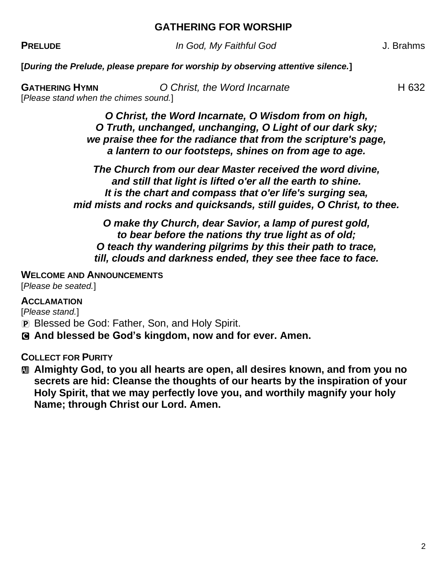#### **GATHERING FOR WORSHIP**

**PRELUDE** *In God, My Faithful God* J. Brahms

**[***During the Prelude, please prepare for worship by observing attentive silence.***]**

**GATHERING HYMN O Christ, the Word Incarnate H 632** [*Please stand when the chimes sound.*]

> *O Christ, the Word Incarnate, O Wisdom from on high, O Truth, unchanged, unchanging, O Light of our dark sky; we praise thee for the radiance that from the scripture's page, a lantern to our footsteps, shines on from age to age.*

*The Church from our dear Master received the word divine, and still that light is lifted o'er all the earth to shine. It is the chart and compass that o'er life's surging sea, mid mists and rocks and quicksands, still guides, O Christ, to thee.*

*O make thy Church, dear Savior, a lamp of purest gold, to bear before the nations thy true light as of old; O teach thy wandering pilgrims by this their path to trace, till, clouds and darkness ended, they see thee face to face.* 

#### **WELCOME AND ANNOUNCEMENTS**

[*Please be seated.*]

#### **ACCLAMATION**

[*Please stand.*]

- P Blessed be God: Father, Son, and Holy Spirit.
- C **And blessed be God's kingdom, now and for ever. Amen.**

#### **COLLECT FOR PURITY**

**M** Almighty God, to you all hearts are open, all desires known, and from you no **secrets are hid: Cleanse the thoughts of our hearts by the inspiration of your Holy Spirit, that we may perfectly love you, and worthily magnify your holy Name; through Christ our Lord. Amen.**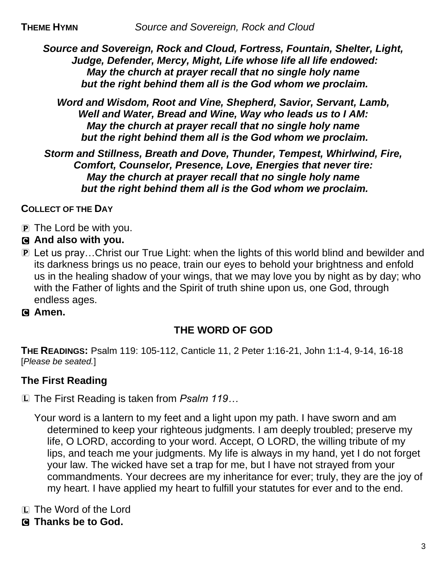*Source and Sovereign, Rock and Cloud, Fortress, Fountain, Shelter, Light, Judge, Defender, Mercy, Might, Life whose life all life endowed: May the church at prayer recall that no single holy name but the right behind them all is the God whom we proclaim.*

*Word and Wisdom, Root and Vine, Shepherd, Savior, Servant, Lamb, Well and Water, Bread and Wine, Way who leads us to I AM: May the church at prayer recall that no single holy name but the right behind them all is the God whom we proclaim.*

*Storm and Stillness, Breath and Dove, Thunder, Tempest, Whirlwind, Fire, Comfort, Counselor, Presence, Love, Energies that never tire: May the church at prayer recall that no single holy name but the right behind them all is the God whom we proclaim.*

**COLLECT OF THE DAY** 

- P The Lord be with you.
- C **And also with you.**
- P Let us pray…Christ our True Light: when the lights of this world blind and bewilder and its darkness brings us no peace, train our eyes to behold your brightness and enfold us in the healing shadow of your wings, that we may love you by night as by day; who with the Father of lights and the Spirit of truth shine upon us, one God, through endless ages.
- C **Amen.**

## **THE WORD OF GOD**

**THE READINGS:** Psalm 119: 105-112, Canticle 11, 2 Peter 1:16-21, John 1:1-4, 9-14, 16-18 [*Please be seated.*]

## **The First Reading**

L The First Reading is taken from *Psalm 119…*

Your word is a lantern to my feet and a light upon my path. I have sworn and am determined to keep your righteous judgments. I am deeply troubled; preserve my life, O LORD, according to your word. Accept, O LORD, the willing tribute of my lips, and teach me your judgments. My life is always in my hand, yet I do not forget your law. The wicked have set a trap for me, but I have not strayed from your commandments. Your decrees are my inheritance for ever; truly, they are the joy of my heart. I have applied my heart to fulfill your statutes for ever and to the end.

- L The Word of the Lord
- C **Thanks be to God.**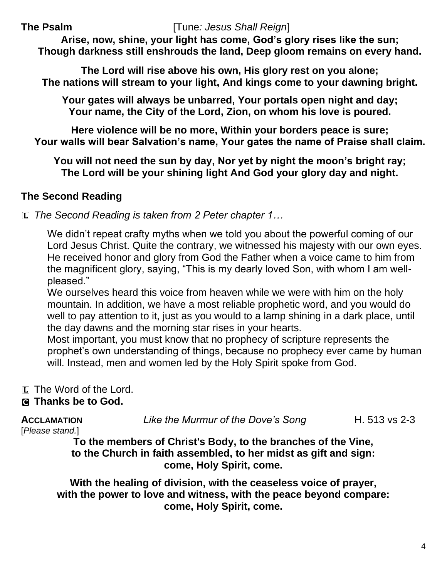#### **The Psalm** [Tune*: Jesus Shall Reign*]

**Arise, now, shine, your light has come, God's glory rises like the sun; Though darkness still enshrouds the land, Deep gloom remains on every hand.**

**The Lord will rise above his own, His glory rest on you alone; The nations will stream to your light, And kings come to your dawning bright.**

**Your gates will always be unbarred, Your portals open night and day; Your name, the City of the Lord, Zion, on whom his love is poured.**

**Here violence will be no more, Within your borders peace is sure; Your walls will bear Salvation's name, Your gates the name of Praise shall claim.**

**You will not need the sun by day, Nor yet by night the moon's bright ray; The Lord will be your shining light And God your glory day and night.**

## **The Second Reading**

L *The Second Reading is taken from 2 Peter chapter 1…*

We didn't repeat crafty myths when we told you about the powerful coming of our Lord Jesus Christ. Quite the contrary, we witnessed his majesty with our own eyes. He received honor and glory from God the Father when a voice came to him from the magnificent glory, saying, "This is my dearly loved Son, with whom I am wellpleased."

We ourselves heard this voice from heaven while we were with him on the holy mountain. In addition, we have a most reliable prophetic word, and you would do well to pay attention to it, just as you would to a lamp shining in a dark place, until the day dawns and the morning star rises in your hearts.

Most important, you must know that no prophecy of scripture represents the prophet's own understanding of things, because no prophecy ever came by human will. Instead, men and women led by the Holy Spirit spoke from God.

L The Word of the Lord.

### C **Thanks be to God.**

**ACCLAMATION** *Like the Murmur of the Dove's Song* H. 513 vs 2-3

[*Please stand.*]

**To the members of Christ's Body, to the branches of the Vine, to the Church in faith assembled, to her midst as gift and sign: come, Holy Spirit, come.**

**With the healing of division, with the ceaseless voice of prayer, with the power to love and witness, with the peace beyond compare: come, Holy Spirit, come.**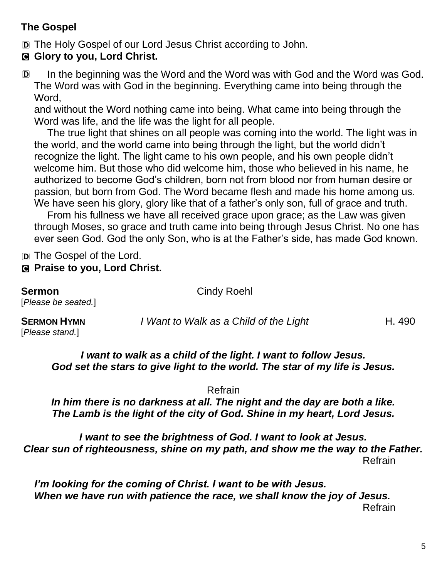## **The Gospel**

D The Holy Gospel of our Lord Jesus Christ according to John.

## C **Glory to you, Lord Christ.**

D In the beginning was the Word and the Word was with God and the Word was God. The Word was with God in the beginning. Everything came into being through the Word,

and without the Word nothing came into being. What came into being through the Word was life, and the life was the light for all people.

The true light that shines on all people was coming into the world. The light was in the world, and the world came into being through the light, but the world didn't recognize the light. The light came to his own people, and his own people didn't welcome him. But those who did welcome him, those who believed in his name, he authorized to become God's children, born not from blood nor from human desire or passion, but born from God. The Word became flesh and made his home among us. We have seen his glory, glory like that of a father's only son, full of grace and truth.

From his fullness we have all received grace upon grace; as the Law was given through Moses, so grace and truth came into being through Jesus Christ. No one has ever seen God. God the only Son, who is at the Father's side, has made God known.

D The Gospel of the Lord.

### C **Praise to you, Lord Christ.**

**Sermon** Cindy Roehl [*Please be seated.*] **SERMON HYMN** *I Want to Walk as a Child of the Light* **H. 490** 

[*Please stand.*]

*I want to walk as a child of the light. I want to follow Jesus. God set the stars to give light to the world. The star of my life is Jesus.* 

Refrain

*In him there is no darkness at all. The night and the day are both a like. The Lamb is the light of the city of God. Shine in my heart, Lord Jesus.*

*I want to see the brightness of God. I want to look at Jesus. Clear sun of righteousness, shine on my path, and show me the way to the Father.*  Refrain

*I'm looking for the coming of Christ. I want to be with Jesus. When we have run with patience the race, we shall know the joy of Jesus.*  Refrain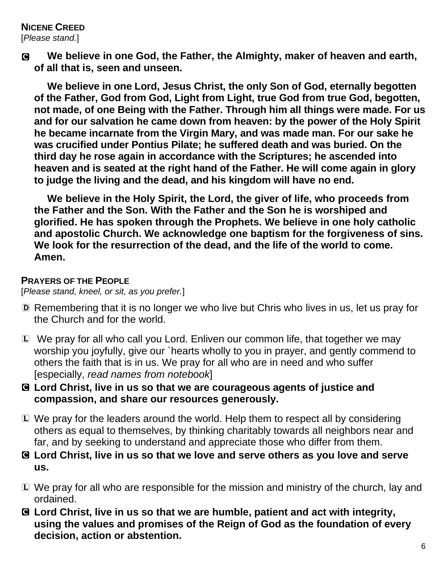# **NICENE CREED**

[*Please stand.*]

C **We believe in one God, the Father, the Almighty, maker of heaven and earth, of all that is, seen and unseen.**

**We believe in one Lord, Jesus Christ, the only Son of God, eternally begotten of the Father, God from God, Light from Light, true God from true God, begotten, not made, of one Being with the Father. Through him all things were made. For us and for our salvation he came down from heaven: by the power of the Holy Spirit he became incarnate from the Virgin Mary, and was made man. For our sake he was crucified under Pontius Pilate; he suffered death and was buried. On the third day he rose again in accordance with the Scriptures; he ascended into heaven and is seated at the right hand of the Father. He will come again in glory to judge the living and the dead, and his kingdom will have no end.**

**We believe in the Holy Spirit, the Lord, the giver of life, who proceeds from the Father and the Son. With the Father and the Son he is worshiped and glorified. He has spoken through the Prophets. We believe in one holy catholic and apostolic Church. We acknowledge one baptism for the forgiveness of sins. We look for the resurrection of the dead, and the life of the world to come. Amen.**

#### **PRAYERS OF THE PEOPLE**

[*Please stand, kneel, or sit, as you prefer.*]

- D Remembering that it is no longer we who live but Chris who lives in us, let us pray for the Church and for the world.
- L We pray for all who call you Lord. Enliven our common life, that together we may worship you joyfully, give our `hearts wholly to you in prayer, and gently commend to others the faith that is in us. We pray for all who are in need and who suffer [especially, *read names from notebook*]
- C **Lord Christ, live in us so that we are courageous agents of justice and compassion, and share our resources generously.**
- L We pray for the leaders around the world. Help them to respect all by considering others as equal to themselves, by thinking charitably towards all neighbors near and far, and by seeking to understand and appreciate those who differ from them.
- C **Lord Christ, live in us so that we love and serve others as you love and serve us.**
- L We pray for all who are responsible for the mission and ministry of the church, lay and ordained.
- C **Lord Christ, live in us so that we are humble, patient and act with integrity, using the values and promises of the Reign of God as the foundation of every decision, action or abstention.**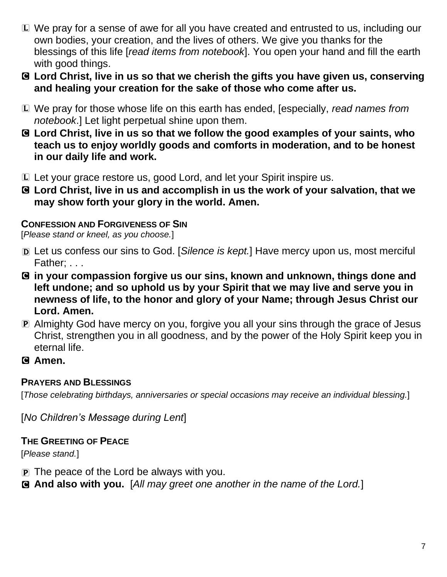- L We pray for a sense of awe for all you have created and entrusted to us, including our own bodies, your creation, and the lives of others. We give you thanks for the blessings of this life [*read items from notebook*]. You open your hand and fill the earth with good things.
- C **Lord Christ, live in us so that we cherish the gifts you have given us, conserving and healing your creation for the sake of those who come after us.**
- L We pray for those whose life on this earth has ended, [especially, *read names from notebook*.] Let light perpetual shine upon them.
- C **Lord Christ, live in us so that we follow the good examples of your saints, who teach us to enjoy worldly goods and comforts in moderation, and to be honest in our daily life and work.**
- L Let your grace restore us, good Lord, and let your Spirit inspire us.
- C **Lord Christ, live in us and accomplish in us the work of your salvation, that we may show forth your glory in the world. Amen.**

#### **CONFESSION AND FORGIVENESS OF SIN**

[*Please stand or kneel, as you choose.*]

- D Let us confess our sins to God. [*Silence is kept.*] Have mercy upon us, most merciful Father; . . .
- C **in your compassion forgive us our sins, known and unknown, things done and left undone; and so uphold us by your Spirit that we may live and serve you in newness of life, to the honor and glory of your Name; through Jesus Christ our Lord. Amen.**
- P Almighty God have mercy on you, forgive you all your sins through the grace of Jesus Christ, strengthen you in all goodness, and by the power of the Holy Spirit keep you in eternal life.
- C **Amen.**

### **PRAYERS AND BLESSINGS**

[*Those celebrating birthdays, anniversaries or special occasions may receive an individual blessing.*]

[*No Children's Message during Lent*]

## **THE GREETING OF PEACE**

[*Please stand.*]

- $\mathbf{P}$  The peace of the Lord be always with you.
- C **And also with you.** [*All may greet one another in the name of the Lord.*]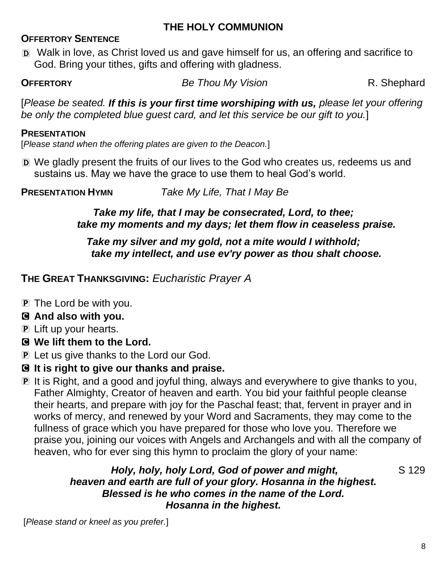## **THE HOLY COMMUNION**

#### **OFFERTORY SENTENCE**

D Walk in love, as Christ loved us and gave himself for us, an offering and sacrifice to God. Bring your tithes, gifts and offering with gladness.

**OFFERTORY Be Thou My Vision R. Shephard** 

[*Please be seated. If this is your first time worshiping with us, please let your offering be only the completed blue guest card, and let this service be our gift to you.*]

#### **PRESENTATION**

[*Please stand when the offering plates are given to the Deacon.*]

D We gladly present the fruits of our lives to the God who creates us, redeems us and sustains us. May we have the grace to use them to heal God's world.

**PRESENTATION HYMN** *Take My Life, That I May Be*

#### *Take my life, that I may be consecrated, Lord, to thee; take my moments and my days; let them flow in ceaseless praise.*

### *Take my silver and my gold, not a mite would I withhold; take my intellect, and use ev'ry power as thou shalt choose.*

## **THE GREAT THANKSGIVING:** *Eucharistic Prayer A*

- **P** The Lord be with you.
- C **And also with you.**
- P Lift up your hearts.
- C **We lift them to the Lord.**
- **P** Let us give thanks to the Lord our God.
- C **It is right to give our thanks and praise.**
- P It is Right, and a good and joyful thing, always and everywhere to give thanks to you, Father Almighty, Creator of heaven and earth. You bid your faithful people cleanse their hearts, and prepare with joy for the Paschal feast; that, fervent in prayer and in works of mercy, and renewed by your Word and Sacraments, they may come to the fullness of grace which you have prepared for those who love you. Therefore we praise you, joining our voices with Angels and Archangels and with all the company of heaven, who for ever sing this hymn to proclaim the glory of your name:

#### *Holy, holy, holy Lord, God of power and might,* S 129 *heaven and earth are full of your glory. Hosanna in the highest. Blessed is he who comes in the name of the Lord. Hosanna in the highest.*

[*Please stand or kneel as you prefer.*]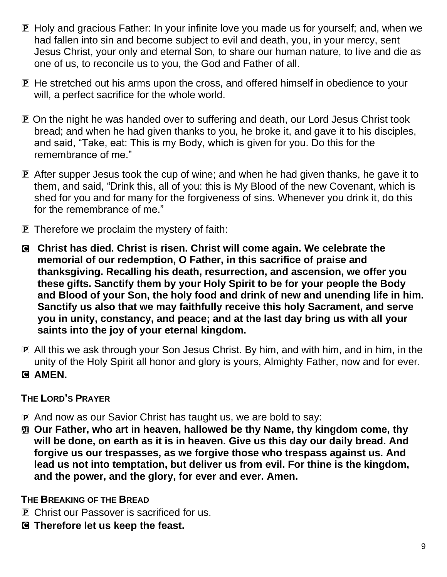- P Holy and gracious Father: In your infinite love you made us for yourself; and, when we had fallen into sin and become subject to evil and death, you, in your mercy, sent Jesus Christ, your only and eternal Son, to share our human nature, to live and die as one of us, to reconcile us to you, the God and Father of all.
- P He stretched out his arms upon the cross, and offered himself in obedience to your will, a perfect sacrifice for the whole world.
- P On the night he was handed over to suffering and death, our Lord Jesus Christ took bread; and when he had given thanks to you, he broke it, and gave it to his disciples, and said, "Take, eat: This is my Body, which is given for you. Do this for the remembrance of me."
- P After supper Jesus took the cup of wine; and when he had given thanks, he gave it to them, and said, "Drink this, all of you: this is My Blood of the new Covenant, which is shed for you and for many for the forgiveness of sins. Whenever you drink it, do this for the remembrance of me."
- P Therefore we proclaim the mystery of faith:
- C **Christ has died. Christ is risen. Christ will come again. We celebrate the memorial of our redemption, O Father, in this sacrifice of praise and thanksgiving. Recalling his death, resurrection, and ascension, we offer you these gifts. Sanctify them by your Holy Spirit to be for your people the Body and Blood of your Son, the holy food and drink of new and unending life in him. Sanctify us also that we may faithfully receive this holy Sacrament, and serve you in unity, constancy, and peace; and at the last day bring us with all your saints into the joy of your eternal kingdom.**
- P All this we ask through your Son Jesus Christ. By him, and with him, and in him, in the unity of the Holy Spirit all honor and glory is yours, Almighty Father, now and for ever.
- C **AMEN.**

## **THE LORD'S PRAYER**

- P And now as our Savior Christ has taught us, we are bold to say:
- a **Our Father, who art in heaven, hallowed be thy Name, thy kingdom come, thy will be done, on earth as it is in heaven. Give us this day our daily bread. And forgive us our trespasses, as we forgive those who trespass against us. And lead us not into temptation, but deliver us from evil. For thine is the kingdom, and the power, and the glory, for ever and ever. Amen.**

## **THE BREAKING OF THE BREAD**

- P Christ our Passover is sacrificed for us.
- C **Therefore let us keep the feast.**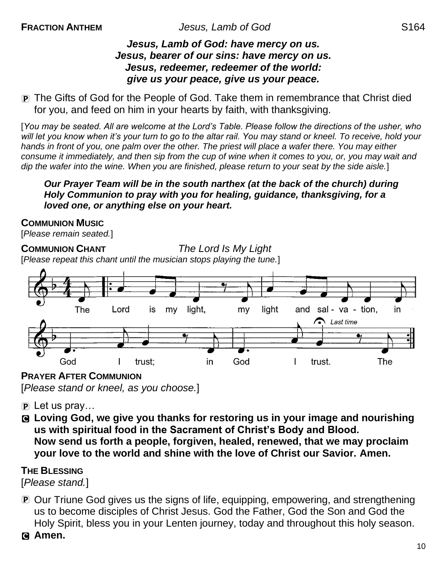#### *Jesus, Lamb of God: have mercy on us. Jesus, bearer of our sins: have mercy on us. Jesus, redeemer, redeemer of the world: give us your peace, give us your peace.*

P The Gifts of God for the People of God. Take them in remembrance that Christ died for you, and feed on him in your hearts by faith, with thanksgiving.

[*You may be seated. All are welcome at the Lord's Table. Please follow the directions of the usher, who will let you know when it's your turn to go to the altar rail. You may stand or kneel. To receive, hold your hands in front of you, one palm over the other. The priest will place a wafer there. You may either consume it immediately, and then sip from the cup of wine when it comes to you, or, you may wait and dip the wafer into the wine. When you are finished, please return to your seat by the side aisle.*]

*Our Prayer Team will be in the south narthex (at the back of the church) during Holy Communion to pray with you for healing, guidance, thanksgiving, for a loved one, or anything else on your heart.* 

#### **COMMUNION MUSIC**

[*Please remain seated.*]

## **COMMUNION CHANT** *The Lord Is My Light*

[*Please repeat this chant until the musician stops playing the tune.*]



**PRAYER AFTER COMMUNION** [*Please stand or kneel, as you choose.*]

- $\overline{P}$  Let us pray...
- C **Loving God, we give you thanks for restoring us in your image and nourishing us with spiritual food in the Sacrament of Christ's Body and Blood. Now send us forth a people, forgiven, healed, renewed, that we may proclaim your love to the world and shine with the love of Christ our Savior. Amen.**

#### **THE BLESSING**

[*Please stand.*]

P Our Triune God gives us the signs of life, equipping, empowering, and strengthening us to become disciples of Christ Jesus. God the Father, God the Son and God the Holy Spirit, bless you in your Lenten journey, today and throughout this holy season.

C **Amen.**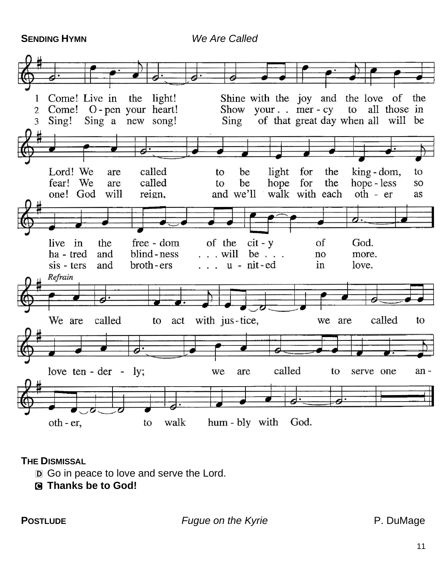**SENDING HYMN** *We Are Called*



#### **THE DISMISSAL**

- D Go in peace to love and serve the Lord.
- C **Thanks be to God!**

**POSTLUDE** *Fugue on the Kyrie* **P. DuMage**